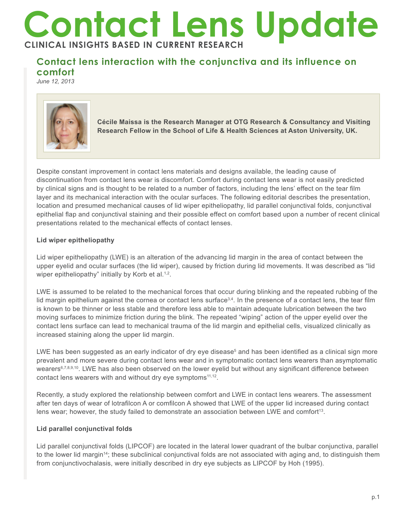# **Contact Lens Update CLINICAL INSIGHTS BASED IN CURRENT RESEARCH**

## **Contact lens interaction with the conjunctiva and its influence on comfort**

*June 12, 2013*



**Cécile Maissa is the Research Manager at OTG Research & Consultancy and Visiting Research Fellow in the School of Life & Health Sciences at Aston University, UK.** 

Despite constant improvement in contact lens materials and designs available, the leading cause of discontinuation from contact lens wear is discomfort. Comfort during contact lens wear is not easily predicted by clinical signs and is thought to be related to a number of factors, including the lens' effect on the tear film layer and its mechanical interaction with the ocular surfaces. The following editorial describes the presentation, location and presumed mechanical causes of lid wiper epitheliopathy, lid parallel conjunctival folds, conjunctival epithelial flap and conjunctival staining and their possible effect on comfort based upon a number of recent clinical presentations related to the mechanical effects of contact lenses.

### **Lid wiper epitheliopathy**

Lid wiper epitheliopathy (LWE) is an alteration of the advancing lid margin in the area of contact between the upper eyelid and ocular surfaces (the lid wiper), caused by friction during lid movements. It was described as "lid wiper epitheliopathy" initially by Korb et al.<sup>1,2</sup>.

LWE is assumed to be related to the mechanical forces that occur during blinking and the repeated rubbing of the lid margin epithelium against the cornea or contact lens surface $3.4$ . In the presence of a contact lens, the tear film is known to be thinner or less stable and therefore less able to maintain adequate lubrication between the two moving surfaces to minimize friction during the blink. The repeated "wiping" action of the upper eyelid over the contact lens surface can lead to mechanical trauma of the lid margin and epithelial cells, visualized clinically as increased staining along the upper lid margin.

LWE has been suggested as an early indicator of dry eye disease<sup>5</sup> and has been identified as a clinical sign more prevalent and more severe during contact lens wear and in symptomatic contact lens wearers than asymptomatic wearers<sup>6,7,8,9,10</sup>. LWE has also been observed on the lower eyelid but without any significant difference between contact lens wearers with and without dry eye symptoms<sup>11,12</sup>.

Recently, a study explored the relationship between comfort and LWE in contact lens wearers. The assessment after ten days of wear of lotrafilcon A or comfilcon A showed that LWE of the upper lid increased during contact lens wear; however, the study failed to demonstrate an association between LWE and comfort<sup>13</sup>.

#### **Lid parallel conjunctival folds**

Lid parallel conjunctival folds (LIPCOF) are located in the lateral lower quadrant of the bulbar conjunctiva, parallel to the lower lid margin14; these subclinical conjunctival folds are not associated with aging and, to distinguish them from conjunctivochalasis, were initially described in dry eye subjects as LIPCOF by Hoh (1995).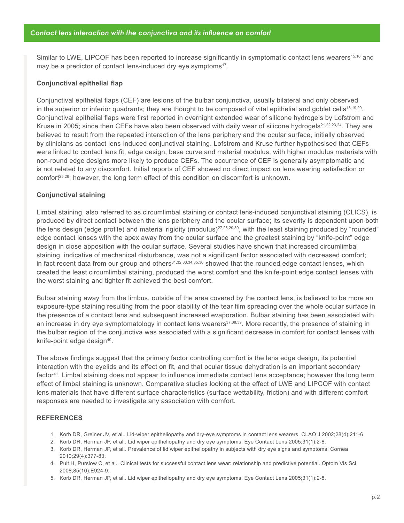Similar to LWE, LIPCOF has been reported to increase significantly in symptomatic contact lens wearers<sup>15,16</sup> and may be a predictor of contact lens-induced dry eye symptoms<sup>17</sup>.

#### **Conjunctival epithelial flap**

Conjunctival epithelial flaps (CEF) are lesions of the bulbar conjunctiva, usually bilateral and only observed in the superior or inferior quadrants; they are thought to be composed of vital epithelial and goblet cells<sup>18,19,20</sup>. Conjunctival epithelial flaps were first reported in overnight extended wear of silicone hydrogels by Lofstrom and Kruse in 2005; since then CEFs have also been observed with daily wear of silicone hydrogels<sup>21,22,23,24</sup>. They are believed to result from the repeated interaction of the lens periphery and the ocular surface, initially observed by clinicians as contact lens-induced conjunctival staining. Lofstrom and Kruse further hypothesised that CEFs were linked to contact lens fit, edge design, base curve and material modulus, with higher modulus materials with non-round edge designs more likely to produce CEFs. The occurrence of CEF is generally asymptomatic and is not related to any discomfort. Initial reports of CEF showed no direct impact on lens wearing satisfaction or comfort<sup>25,26</sup>; however, the long term effect of this condition on discomfort is unknown.

#### **Conjunctival staining**

Limbal staining, also referred to as circumlimbal staining or contact lens-induced conjunctival staining (CLICS), is produced by direct contact between the lens periphery and the ocular surface; its severity is dependent upon both the lens design (edge profile) and material rigidity (modulus) $27,28,29,30$ , with the least staining produced by "rounded" edge contact lenses with the apex away from the ocular surface and the greatest staining by "knife-point" edge design in close apposition with the ocular surface. Several studies have shown that increased circumlimbal staining, indicative of mechanical disturbance, was not a significant factor associated with decreased comfort; in fact recent data from our group and others<sup>31,32,33,34,35,36</sup> showed that the rounded edge contact lenses, which created the least circumlimbal staining, produced the worst comfort and the knife-point edge contact lenses with the worst staining and tighter fit achieved the best comfort.

Bulbar staining away from the limbus, outside of the area covered by the contact lens, is believed to be more an exposure-type staining resulting from the poor stability of the tear film spreading over the whole ocular surface in the presence of a contact lens and subsequent increased evaporation. Bulbar staining has been associated with an increase in dry eye symptomatology in contact lens wearers<sup>37,38,39</sup>. More recently, the presence of staining in the bulbar region of the conjunctiva was associated with a significant decrease in comfort for contact lenses with knife-point edge design<sup>40</sup>.

The above findings suggest that the primary factor controlling comfort is the lens edge design, its potential interaction with the eyelids and its effect on fit, and that ocular tissue dehydration is an important secondary factor<sup>41</sup>. Limbal staining does not appear to influence immediate contact lens acceptance; however the long term effect of limbal staining is unknown. Comparative studies looking at the effect of LWE and LIPCOF with contact lens materials that have different surface characteristics (surface wettability, friction) and with different comfort responses are needed to investigate any association with comfort.

#### **REFERENCES**

- 1. Korb DR, Greiner JV, et al.. Lid-wiper epitheliopathy and dry-eye symptoms in contact lens wearers. CLAO J 2002;28(4):211-6.
- 2. Korb DR, Herman JP, et al.. Lid wiper epitheliopathy and dry eye symptoms. Eye Contact Lens 2005;31(1):2-8.
- 3. Korb DR, Herman JP, et al.. Prevalence of lid wiper epitheliopathy in subjects with dry eye signs and symptoms. Cornea 2010;29(4):377-83.
- 4. Pult H, Purslow C, et al.. Clinical tests for successful contact lens wear: relationship and predictive potential. Optom Vis Sci 2008;85(10):E924-9.
- 5. Korb DR, Herman JP, et al.. Lid wiper epitheliopathy and dry eye symptoms. Eye Contact Lens 2005;31(1):2-8.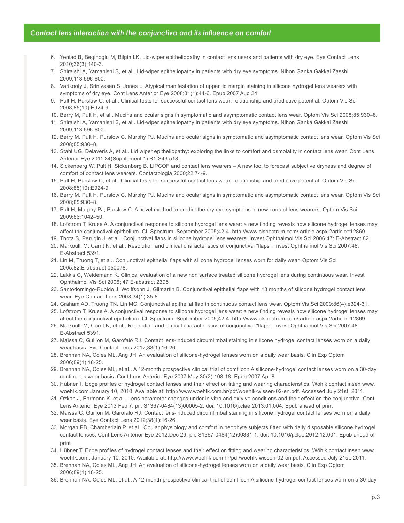#### *Contact lens interaction with the conjunctiva and its influence on comfort*

- 6. Yeniad B, Beginoglu M, Bilgin LK. Lid-wiper epitheliopathy in contact lens users and patients with dry eye. Eye Contact Lens 2010;36(3):140-3.
- 7. Shiraishi A, Yamanishi S, et al.. Lid-wiper epitheliopathy in patients with dry eye symptoms. Nihon Ganka Gakkai Zasshi 2009;113:596-600.
- 8. Varikooty J, Srinivasan S, Jones L. Atypical manifestation of upper lid margin staining in silicone hydrogel lens wearers with symptoms of dry eye. Cont Lens Anterior Eye 2008;31(1):44-6. Epub 2007 Aug 24.
- 9. Pult H, Purslow C, et al.. Clinical tests for successful contact lens wear: relationship and predictive potential. Optom Vis Sci 2008;85(10):E924-9.
- 10. Berry M, Pult H, et al.. Mucins and ocular signs in symptomatic and asymptomatic contact lens wear. Optom Vis Sci 2008;85:930–8.
- 11. Shiraishi A, Yamanishi S, et al.. Lid-wiper epitheliopathy in patients with dry eye symptoms. Nihon Ganka Gakkai Zasshi 2009;113:596-600.
- 12. Berry M, Pult H, Purslow C, Murphy PJ. Mucins and ocular signs in symptomatic and asymptomatic contact lens wear. Optom Vis Sci 2008;85:930–8.
- 13. Stahl UG, Delaveris A, et al.. Lid wiper epitheliopathy: exploring the links to comfort and osmolality in contact lens wear. Cont Lens Anterior Eye 2011;34(Supplement 1) S1-S43:518.
- 14. Sickenberg W, Pult H, Sickenberg B. LIPCOF and contact lens wearers A new tool to forecast subjective dryness and degree of comfort of contact lens wearers. Contactologia 2000;22:74-9.
- 15. Pult H, Purslow C, et al.. Clinical tests for successful contact lens wear: relationship and predictive potential. Optom Vis Sci 2008;85(10):E924-9.
- 16. Berry M, Pult H, Purslow C, Murphy PJ. Mucins and ocular signs in symptomatic and asymptomatic contact lens wear. Optom Vis Sci 2008;85:930–8.
- 17. Pult H, Murphy PJ, Purslow C. A novel method to predict the dry eye symptoms in new contact lens wearers. Optom Vis Sci 2009;86:1042–50.
- 18. Lofstrom T, Kruse A. A conjunctival response to silicone hydrogel lens wear: a new finding reveals how silicone hydrogel lenses may affect the conjunctival epithelium. CL Spectrum, September 2005;42-4. http://www.clspectrum.com/ article.aspx ?article=12869
- 19. Thota S, Perrigin J, et al.. Conjunctival flaps in silicone hydrogel lens wearers. Invest Ophthalmol Vis Sci 2006;47: E-Abstract 82.
- 20. Markoulli M, Carnt N, et al.. Resolution and clinical characteristics of conjunctival "flaps". Invest Ophthalmol Vis Sci 2007;48: E-Abstract 5391.
- 21. Lin M, Truong T, et al.. Conjunctival epithelial flaps with silicone hydrogel lenses worn for daily wear. Optom Vis Sci 2005;82:E-abstract 050078.
- 22. Lakkis C, Weidemann K. Clinical evaluation of a new non surface treated silicone hydrogel lens during continuous wear. Invest Ophthalmol Vis Sci 2006; 47 E-abstract 2395
- 23. Santodomingo-Rubido J, Wolffsohn J, Gilmartin B. Conjunctival epithelial flaps with 18 months of silicone hydrogel contact lens wear. Eye Contact Lens 2008;34(1):35-8.
- 24. Graham AD, Truong TN, Lin MC. Conjunctival epithelial flap in continuous contact lens wear. Optom Vis Sci 2009;86(4):e324-31.
- 25. Lofstrom T, Kruse A. A conjunctival response to silicone hydrogel lens wear: a new finding reveals how silicone hydrogel lenses may affect the conjunctival epithelium. CL Spectrum, September 2005;42-4. http://www.clspectrum.com/ article.aspx ?article=12869
- 26. Markoulli M, Carnt N, et al.. Resolution and clinical characteristics of conjunctival "flaps". Invest Ophthalmol Vis Sci 2007;48: E-Abstract 5391.
- 27. Maïssa C, Guillon M, Garofalo RJ. Contact lens-induced circumlimbal staining in silicone hydrogel contact lenses worn on a daily wear basis. Eye Contact Lens 2012;38(1):16-26.
- 28. Brennan NA, Coles ML, Ang JH. An evaluation of silicone-hydrogel lenses worn on a daily wear basis. Clin Exp Optom 2006;89(1):18-25.
- 29. Brennan NA, Coles ML, et al.. A 12-month prospective clinical trial of comfilcon A silicone-hydrogel contact lenses worn on a 30-day continuous wear basis. Cont Lens Anterior Eye 2007 May;30(2):108-18. Epub 2007 Apr 8.
- 30. Hübner T. Edge profiles of hydrogel contact lenses and their effect on fitting and wearing characteristics. Wöhlk contactlinsen www. woehlk.com January 10, 2010. Available at: http://www.woehlk.com.hr/pdf/woehlk-wissen-02-en.pdf. Accessed July 21st, 2011.
- 31. Ozkan J, Ehrmann K, et al.. Lens parameter changes under in vitro and ex vivo conditions and their effect on the conjunctiva. Cont Lens Anterior Eye 2013 Feb 7. pii: S1367-0484(13)00005-2. doi: 10.1016/j.clae.2013.01.004. Epub ahead of print
- 32. Maïssa C, Guillon M, Garofalo RJ. Contact lens-induced circumlimbal staining in silicone hydrogel contact lenses worn on a daily wear basis. Eye Contact Lens 2012;38(1):16-26.
- 33. Morgan PB, Chamberlain P, et al.. Ocular physiology and comfort in neophyte subjects fitted with daily disposable silicone hydrogel contact lenses. Cont Lens Anterior Eye 2012;Dec 29. pii: S1367-0484(12)00331-1. doi: 10.1016/j.clae.2012.12.001. Epub ahead of print
- 34. Hübner T. Edge profiles of hydrogel contact lenses and their effect on fitting and wearing characteristics. Wöhlk contactlinsen www. woehlk.com. January 10, 2010. Available at: http://www.woehlk.com.hr/pdf/woehlk-wissen-02-en.pdf. Accessed July 21st, 2011.
- 35. Brennan NA, Coles ML, Ang JH. An evaluation of silicone-hydrogel lenses worn on a daily wear basis. Clin Exp Optom 2006;89(1):18-25.
- 36. Brennan NA, Coles ML, et al.. A 12-month prospective clinical trial of comfilcon A silicone-hydrogel contact lenses worn on a 30-day